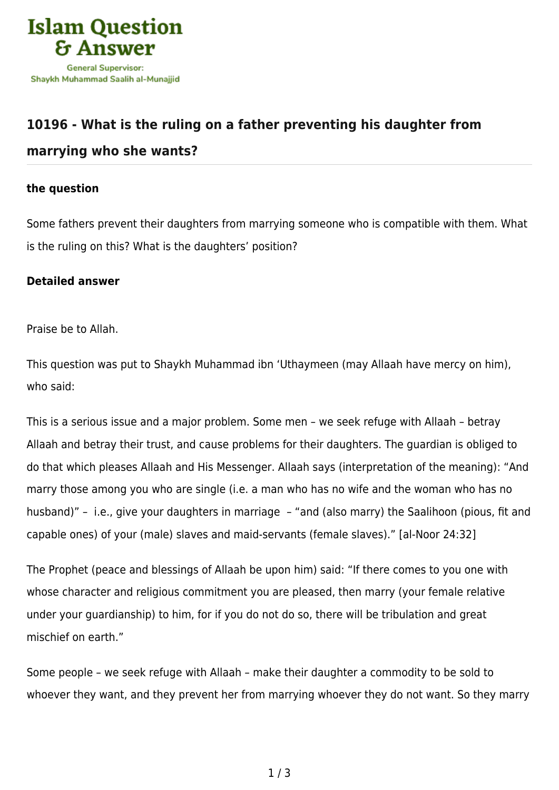

## **[10196 - What is the ruling on a father preventing his daughter from](https://islamqa.info/en/answers/10196/what-is-the-ruling-on-a-father-preventing-his-daughter-from-marrying-who-she-wants) [marrying who she wants?](https://islamqa.info/en/answers/10196/what-is-the-ruling-on-a-father-preventing-his-daughter-from-marrying-who-she-wants)**

## **the question**

Some fathers prevent their daughters from marrying someone who is compatible with them. What is the ruling on this? What is the daughters' position?

## **Detailed answer**

Praise be to Allah.

This question was put to Shaykh Muhammad ibn 'Uthaymeen (may Allaah have mercy on him), who said:

This is a serious issue and a major problem. Some men – we seek refuge with Allaah – betray Allaah and betray their trust, and cause problems for their daughters. The guardian is obliged to do that which pleases Allaah and His Messenger. Allaah says (interpretation of the meaning): "And marry those among you who are single (i.e. a man who has no wife and the woman who has no husband)" – i.e., give your daughters in marriage – "and (also marry) the Saalihoon (pious, fit and capable ones) of your (male) slaves and maid-servants (female slaves)." [al-Noor 24:32]

The Prophet (peace and blessings of Allaah be upon him) said: "If there comes to you one with whose character and religious commitment you are pleased, then marry (your female relative under your guardianship) to him, for if you do not do so, there will be tribulation and great mischief on earth."

Some people – we seek refuge with Allaah – make their daughter a commodity to be sold to whoever they want, and they prevent her from marrying whoever they do not want. So they marry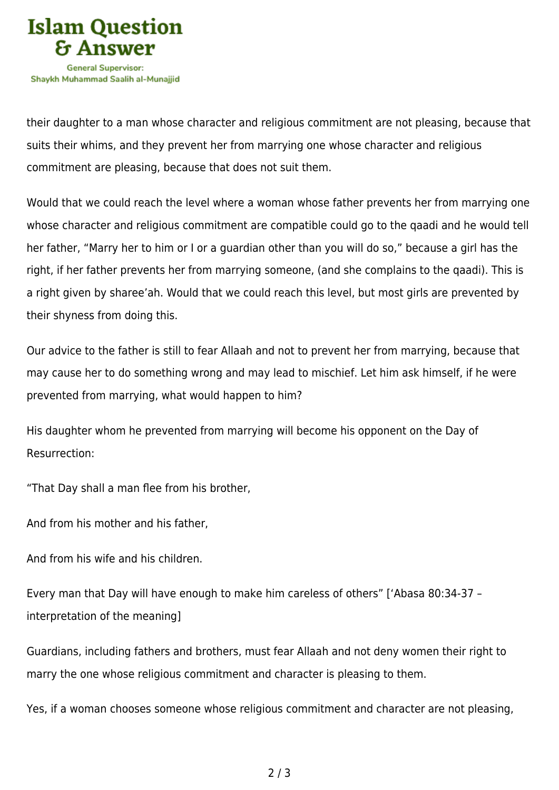

their daughter to a man whose character and religious commitment are not pleasing, because that suits their whims, and they prevent her from marrying one whose character and religious commitment are pleasing, because that does not suit them.

Would that we could reach the level where a woman whose father prevents her from marrying one whose character and religious commitment are compatible could go to the qaadi and he would tell her father, "Marry her to him or I or a guardian other than you will do so," because a girl has the right, if her father prevents her from marrying someone, (and she complains to the qaadi). This is a right given by sharee'ah. Would that we could reach this level, but most girls are prevented by their shyness from doing this.

Our advice to the father is still to fear Allaah and not to prevent her from marrying, because that may cause her to do something wrong and may lead to mischief. Let him ask himself, if he were prevented from marrying, what would happen to him?

His daughter whom he prevented from marrying will become his opponent on the Day of Resurrection:

"That Day shall a man flee from his brother,

And from his mother and his father,

And from his wife and his children.

Every man that Day will have enough to make him careless of others" ['Abasa 80:34-37 – interpretation of the meaning]

Guardians, including fathers and brothers, must fear Allaah and not deny women their right to marry the one whose religious commitment and character is pleasing to them.

Yes, if a woman chooses someone whose religious commitment and character are not pleasing,